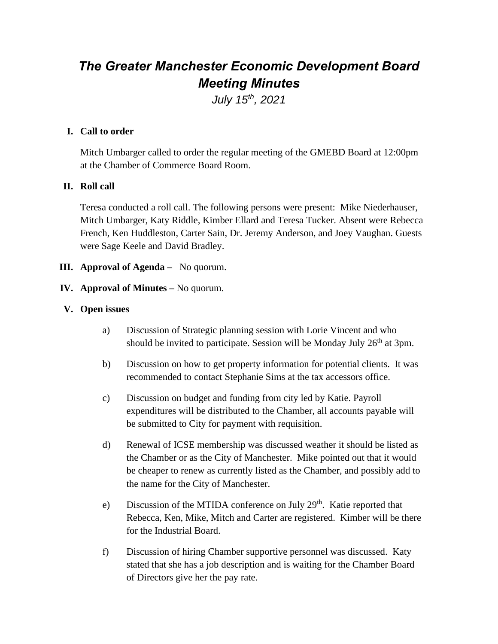# *The Greater Manchester Economic Development Board Meeting Minutes*

*July 15th, 2021*

## **I. Call to order**

Mitch Umbarger called to order the regular meeting of the GMEBD Board at 12:00pm at the Chamber of Commerce Board Room.

## **II. Roll call**

Teresa conducted a roll call. The following persons were present: Mike Niederhauser, Mitch Umbarger, Katy Riddle, Kimber Ellard and Teresa Tucker. Absent were Rebecca French, Ken Huddleston, Carter Sain, Dr. Jeremy Anderson, and Joey Vaughan. Guests were Sage Keele and David Bradley.

**III. Approval of Agenda –** No quorum.

## **IV. Approval of Minutes –** No quorum.

#### **V. Open issues**

- a) Discussion of Strategic planning session with Lorie Vincent and who should be invited to participate. Session will be Monday July  $26<sup>th</sup>$  at 3pm.
- b) Discussion on how to get property information for potential clients. It was recommended to contact Stephanie Sims at the tax accessors office.
- c) Discussion on budget and funding from city led by Katie. Payroll expenditures will be distributed to the Chamber, all accounts payable will be submitted to City for payment with requisition.
- d) Renewal of ICSE membership was discussed weather it should be listed as the Chamber or as the City of Manchester. Mike pointed out that it would be cheaper to renew as currently listed as the Chamber, and possibly add to the name for the City of Manchester.
- e) Discussion of the MTIDA conference on July 29<sup>th</sup>. Katie reported that Rebecca, Ken, Mike, Mitch and Carter are registered. Kimber will be there for the Industrial Board.
- f) Discussion of hiring Chamber supportive personnel was discussed. Katy stated that she has a job description and is waiting for the Chamber Board of Directors give her the pay rate.